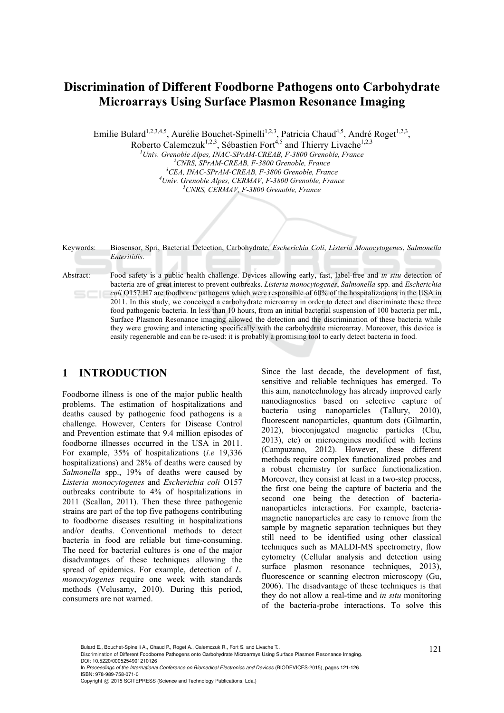# **Discrimination of Different Foodborne Pathogens onto Carbohydrate Microarrays Using Surface Plasmon Resonance Imaging**

Emilie Bulard<sup>1,2,3,4,5</sup>, Aurélie Bouchet-Spinelli<sup>1,2,3</sup>, Patricia Chaud<sup>4,5</sup>, André Roget<sup>1,2,3</sup>,

Roberto Calemczuk<sup>1,2,3</sup>, Sébastien Fort<sup>4,5</sup> and Thierry Livache<sup>1,2,3</sup> <sup>1</sup> *Univ. Grenoble Alpes, INAC-SPrAM-CREAB, F-3800 Grenoble, France*<br>
<sup>2</sup>CNPS, SPrAM CREAP, F-3800 Granoble, Exange <sup>2</sup> CNRS, SPrAM-CREAB, F-3800 Grenoble, France <sup>3</sup>CEA, INAC-SPrAM-CREAB, F-3800 Grenoble, France *Univ. Grenoble Alpes, CERMAV, F-3800 Grenoble, France 5 CNRS, CERMAV, F-3800 Grenoble, France* 

Keywords: Biosensor, Spri, Bacterial Detection, Carbohydrate, *Escherichia Coli*, *Listeria Monocytogenes*, *Salmonella Enteritidis*.

Abstract: Food safety is a public health challenge. Devices allowing early, fast, label-free and *in situ* detection of bacteria are of great interest to prevent outbreaks. *Listeria monocytogenes*, *Salmonella* spp. and *Escherichia coli* O157:H7 are foodborne pathogens which were responsible of 60% of the hospitalizations in the USA in 2011. In this study, we conceived a carbohydrate microarray in order to detect and discriminate these three food pathogenic bacteria. In less than 10 hours, from an initial bacterial suspension of 100 bacteria per mL, Surface Plasmon Resonance imaging allowed the detection and the discrimination of these bacteria while they were growing and interacting specifically with the carbohydrate microarray. Moreover, this device is easily regenerable and can be re-used: it is probably a promising tool to early detect bacteria in food.

#### **1 INTRODUCTION**

Foodborne illness is one of the major public health problems. The estimation of hospitalizations and deaths caused by pathogenic food pathogens is a challenge. However, Centers for Disease Control and Prevention estimate that 9.4 million episodes of foodborne illnesses occurred in the USA in 2011. For example, 35% of hospitalizations (*i.e* 19,336 hospitalizations) and 28% of deaths were caused by *Salmonella* spp., 19% of deaths were caused by *Listeria monocytogenes* and *Escherichia coli* O157 outbreaks contribute to 4% of hospitalizations in 2011 (Scallan, 2011). Then these three pathogenic strains are part of the top five pathogens contributing to foodborne diseases resulting in hospitalizations and/or deaths. Conventional methods to detect bacteria in food are reliable but time-consuming. The need for bacterial cultures is one of the major disadvantages of these techniques allowing the spread of epidemics. For example, detection of *L. monocytogenes* require one week with standards methods (Velusamy, 2010). During this period, consumers are not warned.

Since the last decade, the development of fast, sensitive and reliable techniques has emerged. To this aim, nanotechnology has already improved early nanodiagnostics based on selective capture of bacteria using nanoparticles (Tallury, 2010), fluorescent nanoparticles, quantum dots (Gilmartin, 2012), bioconjugated magnetic particles (Chu, 2013), etc) or microengines modified with lectins (Campuzano, 2012). However, these different methods require complex functionalized probes and a robust chemistry for surface functionalization. Moreover, they consist at least in a two-step process, the first one being the capture of bacteria and the second one being the detection of bacteriananoparticles interactions. For example, bacteriamagnetic nanoparticles are easy to remove from the sample by magnetic separation techniques but they still need to be identified using other classical techniques such as MALDI-MS spectrometry, flow cytometry (Cellular analysis and detection using surface plasmon resonance techniques, 2013), fluorescence or scanning electron microscopy (Gu, 2006). The disadvantage of these techniques is that they do not allow a real-time and *in situ* monitoring of the bacteria-probe interactions. To solve this

In *Proceedings of the International Conference on Biomedical Electronics and Devices* (BIODEVICES-2015), pages 121-126 ISBN: 978-989-758-071-0

Bulard E., Bouchet-Spinelli A., Chaud P., Roget A., Calemczuk R., Fort S. and Livache T..<br>Discrimination of Different Foodborne Pathogens onto Carbohydrate Microarrays Using Surface Plasmon Resonance Imaging. DOI: 10.5220/0005254901210126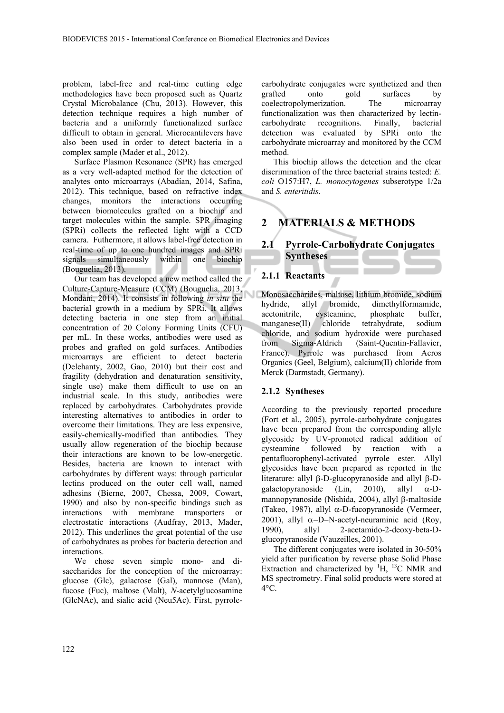problem, label-free and real-time cutting edge methodologies have been proposed such as Quartz Crystal Microbalance (Chu, 2013). However, this detection technique requires a high number of bacteria and a uniformly functionalized surface difficult to obtain in general. Microcantilevers have also been used in order to detect bacteria in a complex sample (Mader et al., 2012).

Surface Plasmon Resonance (SPR) has emerged as a very well-adapted method for the detection of analytes onto microarrays (Abadian, 2014, Safina, 2012). This technique, based on refractive index changes, monitors the interactions occurring between biomolecules grafted on a biochip and target molecules within the sample. SPR imaging (SPRi) collects the reflected light with a CCD camera. Futhermore, it allows label-free detection in real-time of up to one hundred images and SPRi signals simultaneously within one biochip (Bouguelia, 2013).

Our team has developed a new method called the Culture-Capture-Measure (CCM) (Bouguelia, 2013, Mondani, 2014). It consists in following *in situ* the bacterial growth in a medium by SPRi. It allows detecting bacteria in one step from an initial concentration of 20 Colony Forming Units (CFU) per mL. In these works, antibodies were used as probes and grafted on gold surfaces. Antibodies microarrays are efficient to detect bacteria (Delehanty, 2002, Gao, 2010) but their cost and fragility (dehydration and denaturation sensitivity, single use) make them difficult to use on an industrial scale. In this study, antibodies were replaced by carbohydrates. Carbohydrates provide interesting alternatives to antibodies in order to overcome their limitations. They are less expensive, easily-chemically-modified than antibodies. They usually allow regeneration of the biochip because their interactions are known to be low-energetic. Besides, bacteria are known to interact with carbohydrates by different ways: through particular lectins produced on the outer cell wall, named adhesins (Bierne, 2007, Chessa, 2009, Cowart, 1990) and also by non-specific bindings such as interactions with membrane transporters or electrostatic interactions (Audfray, 2013, Mader, 2012). This underlines the great potential of the use of carbohydrates as probes for bacteria detection and interactions.

We chose seven simple mono- and disaccharides for the conception of the microarray: glucose (Glc), galactose (Gal), mannose (Man), fucose (Fuc), maltose (Malt), *N*-acetylglucosamine (GlcNAc), and sialic acid (Neu5Ac). First, pyrrolecarbohydrate conjugates were synthetized and then grafted onto gold surfaces by coelectropolymerization. The microarray functionalization was then characterized by lectincarbohydrate recognitions. Finally, bacterial detection was evaluated by SPRi onto the carbohydrate microarray and monitored by the CCM method.

This biochip allows the detection and the clear discrimination of the three bacterial strains tested: *E. coli* O157:H7, *L. monocytogenes* subserotype 1/2a and *S. enteritidis*.

# **2 MATERIALS & METHODS**

## **2.1 Pyrrole-Carbohydrate Conjugates Syntheses**

#### **2.1.1 Reactants**

Monosaccharides, maltose, lithium bromide, sodium hydride, allyl bromide, dimethylformamide, acetonitrile, cysteamine, phosphate buffer, manganese(II) chloride tetrahydrate, sodium chloride, and sodium hydroxide were purchased from Sigma-Aldrich (Saint-Quentin-Fallavier, France). Pyrrole was purchased from Acros Organics (Geel, Belgium), calcium(II) chloride from Merck (Darmstadt, Germany).

#### **2.1.2 Syntheses**

According to the previously reported procedure (Fort et al., 2005), pyrrole-carbohydrate conjugates have been prepared from the corresponding allyle glycoside by UV-promoted radical addition of cysteamine followed by reaction with a pentafluorophenyl-activated pyrrole ester. Allyl glycosides have been prepared as reported in the literature: allyl  $\beta$ -D-glucopyranoside and allyl  $\beta$ -Dgalactopyranoside (Lin, 2010), allyl  $\alpha$ -Dmannopyranoside (Nishida, 2004), allyl  $\beta$ -maltoside (Takeo, 1987), allyl  $\alpha$ -D-fucopyranoside (Vermeer, 2001), allyl  $\alpha$ -D-N-acetyl-neuraminic acid (Roy, 1990), allyl 2-acetamido-2-deoxy-beta-Dglucopyranoside (Vauzeilles, 2001).

The different conjugates were isolated in 30-50% yield after purification by reverse phase Solid Phase Extraction and characterized by  ${}^{1}H$ ,  ${}^{13}C$  NMR and MS spectrometry. Final solid products were stored at  $4^{\circ}$ C.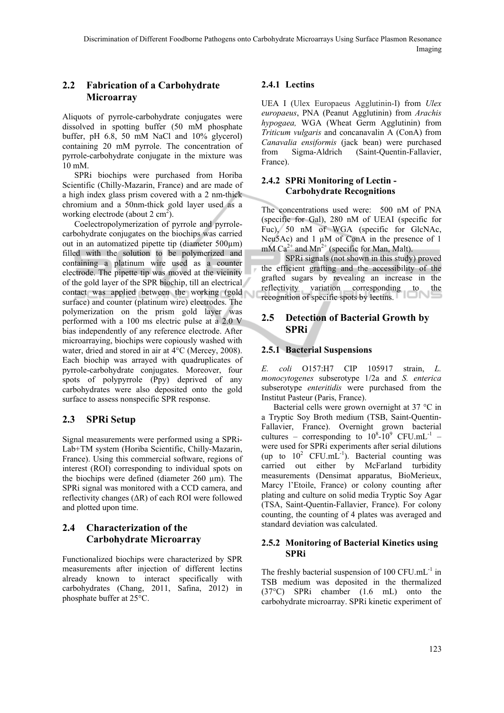### **2.2 Fabrication of a Carbohydrate Microarray**

Aliquots of pyrrole-carbohydrate conjugates were dissolved in spotting buffer (50 mM phosphate buffer, pH 6.8, 50 mM NaCl and 10% glycerol) containing 20 mM pyrrole. The concentration of pyrrole-carbohydrate conjugate in the mixture was 10 mM.

SPRi biochips were purchased from Horiba Scientific (Chilly-Mazarin, France) and are made of a high index glass prism covered with a 2 nm-thick chromium and a 50nm-thick gold layer used as a working electrode (about  $2 \text{ cm}^2$ ).

Coelectropolymerization of pyrrole and pyrrolecarbohydrate conjugates on the biochips was carried out in an automatized pipette tip (diameter 500µm) filled with the solution to be polymerized and containing a platinum wire used as a counter electrode. The pipette tip was moved at the vicinity of the gold layer of the SPR biochip, till an electrical contact was applied between the working (gold surface) and counter (platinum wire) electrodes. The polymerization on the prism gold layer was performed with a 100 ms electric pulse at a 2.0 V bias independently of any reference electrode. After microarraying, biochips were copiously washed with water, dried and stored in air at 4°C (Mercey, 2008). Each biochip was arrayed with quadruplicates of pyrrole-carbohydrate conjugates. Moreover, four spots of polypyrrole (Ppy) deprived of any carbohydrates were also deposited onto the gold surface to assess nonspecific SPR response.

#### **2.3 SPRi Setup**

Signal measurements were performed using a SPRi-Lab+TM system (Horiba Scientific, Chilly-Mazarin, France). Using this commercial software, regions of interest (ROI) corresponding to individual spots on the biochips were defined (diameter 260 µm). The SPRi signal was monitored with a CCD camera, and reflectivity changes (ΔR) of each ROI were followed and plotted upon time.

### **2.4 Characterization of the Carbohydrate Microarray**

Functionalized biochips were characterized by SPR measurements after injection of different lectins already known to interact specifically with carbohydrates (Chang, 2011, Safina, 2012) in phosphate buffer at 25°C.

### **2.4.1 Lectins**

UEA I (Ulex Europaeus Agglutinin-I) from *Ulex europaeus*, PNA (Peanut Agglutinin) from *Arachis hypogaea,* WGA (Wheat Germ Agglutinin) from *Triticum vulgaris* and concanavalin A (ConA) from *Canavalia ensiformis* (jack bean) were purchased from Sigma-Aldrich (Saint-Quentin-Fallavier, France).

#### **2.4.2 SPRi Monitoring of Lectin - Carbohydrate Recognitions**

The concentrations used were: 500 nM of PNA (specific for Gal), 280 nM of UEAI (specific for Fuc), 50 nM of WGA (specific for GlcNAc, Neu5Ac) and  $1 \mu M$  of ConA in the presence of 1 mM  $Ca^{2+}$  and  $Mn^{2+}$  (specific for Man, Malt).

SPRi signals (not shown in this study) proved the efficient grafting and the accessibility of the grafted sugars by revealing an increase in the reflectivity variation corresponding to the recognition of specific spots by lectins.

### **2.5 Detection of Bacterial Growth by SPRi**

#### **2.5.1 Bacterial Suspensions**

*E. coli* O157:H7 CIP 105917 strain, *L. monocytogenes* subserotype 1/2a and *S. enterica* subserotype *enteritidis* were purchased from the Institut Pasteur (Paris, France).

Bacterial cells were grown overnight at 37 °C in a Tryptic Soy Broth medium (TSB, Saint-Quentin-Fallavier, France). Overnight grown bacterial cultures – corresponding to  $10^8 \text{--}10^9$  CFU.mL<sup>-1</sup> – were used for SPRi experiments after serial dilutions (up to  $10^2$  CFU.mL $^{-1}$ ). Bacterial counting was carried out either by McFarland turbidity measurements (Densimat apparatus, BioMerieux, Marcy l'Etoile, France) or colony counting after plating and culture on solid media Tryptic Soy Agar (TSA, Saint-Quentin-Fallavier, France). For colony counting, the counting of 4 plates was averaged and standard deviation was calculated.

#### **2.5.2 Monitoring of Bacterial Kinetics using SPRi**

The freshly bacterial suspension of  $100 \text{ CFU.mL}^{-1}$  in TSB medium was deposited in the thermalized (37°C) SPRi chamber (1.6 mL) onto the carbohydrate microarray. SPRi kinetic experiment of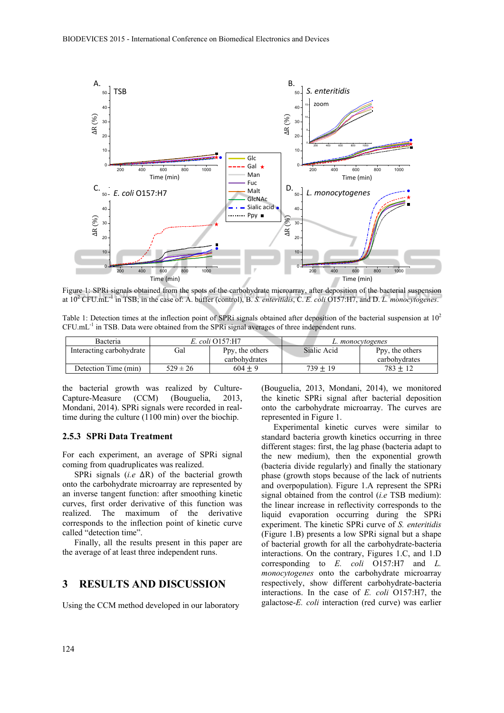

Figure 1: SPRi signals obtained from the spots of the carbohydrate microarray, after deposition of the bacterial suspension at  $10^2$  CFU.mL<sup>-1</sup> in TSB; in the case of: A. buffer (control), B. *S. enteritidis*, C. *E. coli* O157:H7, and D. *L. monocytogenes*.

Table 1: Detection times at the inflection point of SPRi signals obtained after deposition of the bacterial suspension at  $10<sup>2</sup>$ CFU.mL-1 in TSB. Data were obtained from the SPRi signal averages of three independent runs.

| <b>Bacteria</b>          | E. coli O157:H7 |                 | L. monocytogenes |                 |
|--------------------------|-----------------|-----------------|------------------|-----------------|
| Interacting carbohydrate | Gal             | Ppy, the others | Sialic Acid      | Ppy, the others |
|                          |                 | carbohydrates   |                  | carbohydrates   |
| Detection Time (min)     | $529 \pm 26$    | $604 + 9$       | $739 \pm 19$     | 783 + 12        |

the bacterial growth was realized by Culture-Capture-Measure (CCM) (Bouguelia, 2013, Mondani, 2014). SPRi signals were recorded in realtime during the culture (1100 min) over the biochip.

#### **2.5.3 SPRi Data Treatment**

For each experiment, an average of SPRi signal coming from quadruplicates was realized.

SPRi signals (*i.e* ΔR) of the bacterial growth onto the carbohydrate microarray are represented by an inverse tangent function: after smoothing kinetic curves, first order derivative of this function was realized. The maximum of the derivative corresponds to the inflection point of kinetic curve called "detection time".

Finally, all the results present in this paper are the average of at least three independent runs.

#### **3 RESULTS AND DISCUSSION**

Using the CCM method developed in our laboratory

(Bouguelia, 2013, Mondani, 2014), we monitored the kinetic SPRi signal after bacterial deposition onto the carbohydrate microarray. The curves are represented in Figure 1.

Experimental kinetic curves were similar to standard bacteria growth kinetics occurring in three different stages: first, the lag phase (bacteria adapt to the new medium), then the exponential growth (bacteria divide regularly) and finally the stationary phase (growth stops because of the lack of nutrients and overpopulation). Figure 1.A represent the SPRi signal obtained from the control (*i.e* TSB medium): the linear increase in reflectivity corresponds to the liquid evaporation occurring during the SPRi experiment. The kinetic SPRi curve of *S. enteritidis* (Figure 1.B) presents a low SPRi signal but a shape of bacterial growth for all the carbohydrate-bacteria interactions. On the contrary, Figures 1.C, and 1.D corresponding to *E. coli* O157:H7 and *L. monocytogenes* onto the carbohydrate microarray respectively, show different carbohydrate-bacteria interactions. In the case of *E. coli* O157:H7, the galactose-*E. coli* interaction (red curve) was earlier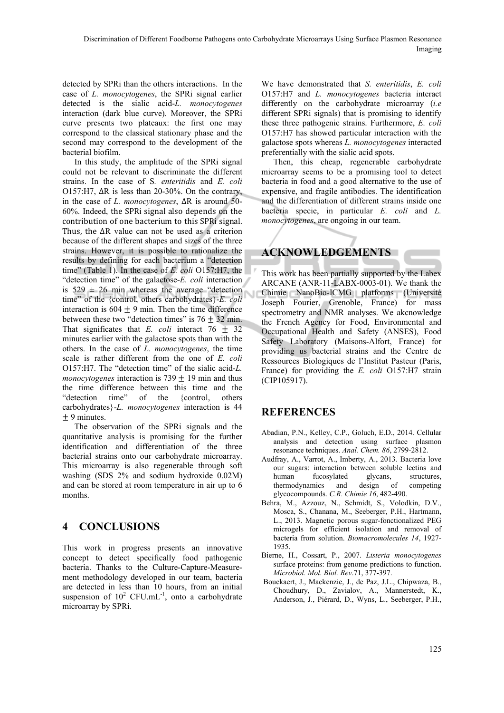detected by SPRi than the others interactions. In the case of *L. monocytogenes*, the SPRi signal earlier detected is the sialic acid-*L. monocytogenes* interaction (dark blue curve). Moreover, the SPRi curve presents two plateaux: the first one may correspond to the classical stationary phase and the second may correspond to the development of the bacterial biofilm.

In this study, the amplitude of the SPRi signal could not be relevant to discriminate the different strains. In the case of S*. enteritidis* and *E. coli* O157:H7, ΔR is less than 20-30%. On the contrary, in the case of *L. monocytogenes*, ΔR is around 50-  $60\%$ . Indeed, the SPRi signal also depends on the contribution of one bacterium to this SPRi signal. Thus, the  $\Delta R$  value can not be used as a criterion because of the different shapes and sizes of the three strains. However, it is possible to rationalize the results by defining for each bacterium a "detection time" (Table 1). In the case of *E. coli* O157:H7, the "detection time" of the galactose-*E. coli* interaction is  $529 \pm 26$  min whereas the average "detection" time" of the {control, others carbohydrates}-*E. coli* interaction is 604  $\pm$  9 min. Then the time difference between these two "detection times" is  $76 \pm 32$  min. That significates that *E. coli* interact  $76 \pm 32$ minutes earlier with the galactose spots than with the others. In the case of *L. monocytogenes*, the time scale is rather different from the one of *E. coli* O157:H7. The "detection time" of the sialic acid-*L. monocytogenes* interaction is 739  $\pm$  19 min and thus the time difference between this time and the "detection time" of the {control, others carbohydrates}-*L. monocytogenes* interaction is 44  $\pm$  9 minutes.

The observation of the SPRi signals and the quantitative analysis is promising for the further identification and differentiation of the three bacterial strains onto our carbohydrate microarray. This microarray is also regenerable through soft washing (SDS 2% and sodium hydroxide 0.02M) and can be stored at room temperature in air up to 6 months.

### **4 CONCLUSIONS**

This work in progress presents an innovative concept to detect specifically food pathogenic bacteria. Thanks to the Culture-Capture-Measurement methodology developed in our team, bacteria are detected in less than 10 hours, from an initial suspension of  $10^2$  CFU.mL<sup>-1</sup>, onto a carbohydrate microarray by SPRi.

We have demonstrated that *S. enteritidis*, *E. coli* O157:H7 and *L. monocytogenes* bacteria interact differently on the carbohydrate microarray (*i.e* different SPRi signals) that is promising to identify these three pathogenic strains. Furthermore, *E. coli* O157:H7 has showed particular interaction with the galactose spots whereas *L. monocytogenes* interacted preferentially with the sialic acid spots.

Then, this cheap, regenerable carbohydrate microarray seems to be a promising tool to detect bacteria in food and a good alternative to the use of expensive, and fragile antibodies. The identification and the differentiation of different strains inside one bacteria specie, in particular *E. coli* and *L. monocytogenes*, are ongoing in our team.

# **ACKNOWLEDGEMENTS**

This work has been partially supported by the Labex ARCANE (ANR-11-LABX-0003-01). We thank the Chimie NanoBio-ICMG platforms (Université Joseph Fourier, Grenoble, France) for mass spectrometry and NMR analyses. We akcnowledge the French Agency for Food, Environmental and Occupational Health and Safety (ANSES), Food Safety Laboratory (Maisons-Alfort, France) for providing us bacterial strains and the Centre de Ressources Biologiques de l'Institut Pasteur (Paris, France) for providing the *E. coli* O157:H7 strain (CIP105917).

### **REFERENCES**

- Abadian, P.N., Kelley, C.P., Goluch, E.D., 2014. Cellular analysis and detection using surface plasmon resonance techniques. *Anal. Chem. 86*, 2799-2812.
- Audfray, A., Varrot, A., Imberty, A., 2013. Bacteria love our sugars: interaction between soluble lectins and human fucosylated glycans, structures, thermodynamics and design of competing glycocompounds. *C.R. Chimie 16*, 482-490.
- Behra, M., Azzouz, N., Schmidt, S., Volodkin, D.V., Mosca, S., Chanana, M., Seeberger, P.H., Hartmann, L., 2013. Magnetic porous sugar-fonctionalized PEG microgels for efficient isolation and removal of bacteria from solution. *Biomacromolecules 14*, 1927- 1935.
- Bierne, H., Cossart, P., 2007. *Listeria monocytogenes* surface proteins: from genome predictions to function. *Microbiol. Mol. Biol. Rev*.71, 377-397.
- Bouckaert, J., Mackenzie, J., de Paz, J.L., Chipwaza, B., Choudhury, D., Zavialov, A., Mannerstedt, K., Anderson, J., Piérard, D., Wyns, L., Seeberger, P.H.,